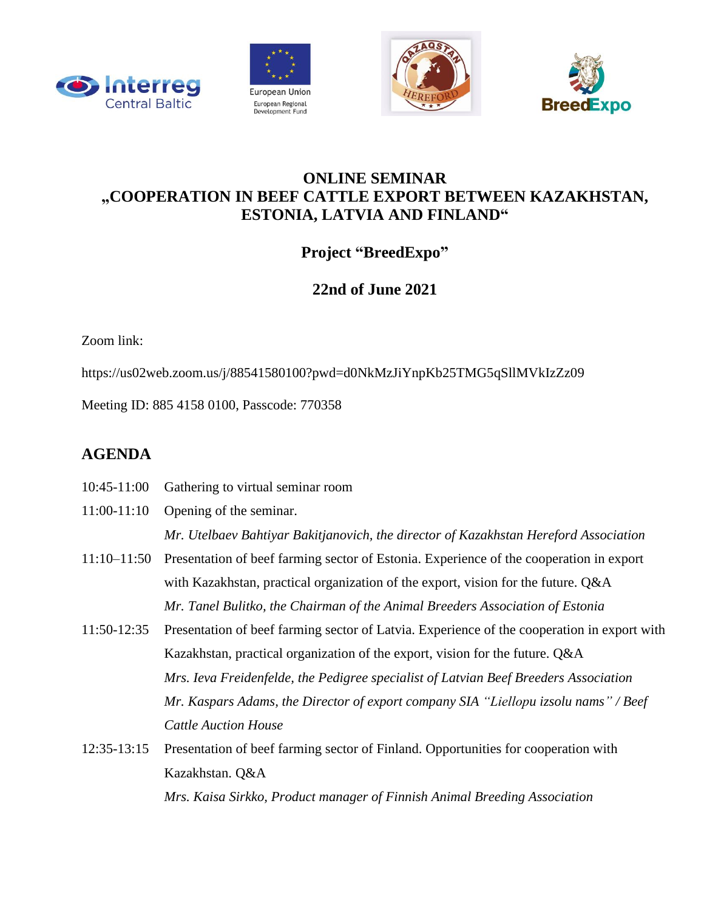







## **ONLINE SEMINAR "COOPERATION IN BEEF CATTLE EXPORT BETWEEN KAZAKHSTAN, ESTONIA, LATVIA AND FINLAND"**

## **Project "BreedExpo"**

## **22nd of June 2021**

Zoom link:

https://us02web.zoom.us/j/88541580100?pwd=d0NkMzJiYnpKb25TMG5qSllMVkIzZz09

Meeting ID: 885 4158 0100, Passcode: 770358

## **AGENDA**

- 10:45-11:00 Gathering to virtual seminar room
- 11:00-11:10 Opening of the seminar. *Mr. Utelbaev Bahtiyar Bakitjanovich, the director of Kazakhstan Hereford Association*
- 11:10–11:50 Presentation of beef farming sector of Estonia. Experience of the cooperation in export with Kazakhstan, practical organization of the export, vision for the future. Q&A *Mr. Tanel Bulitko, the Chairman of the Animal Breeders Association of Estonia*
- 11:50-12:35 Presentation of beef farming sector of Latvia. Experience of the cooperation in export with Kazakhstan, practical organization of the export, vision for the future. Q&A *Mrs. Ieva Freidenfelde, the Pedigree specialist of Latvian Beef Breeders Association Mr. Kaspars Adams, the Director of export company SIA "Liellopu izsolu nams" / Beef Cattle Auction House*
- 12:35-13:15 Presentation of beef farming sector of Finland. Opportunities for cooperation with Kazakhstan. Q&A *Mrs. Kaisa Sirkko, Product manager of Finnish Animal Breeding Association*